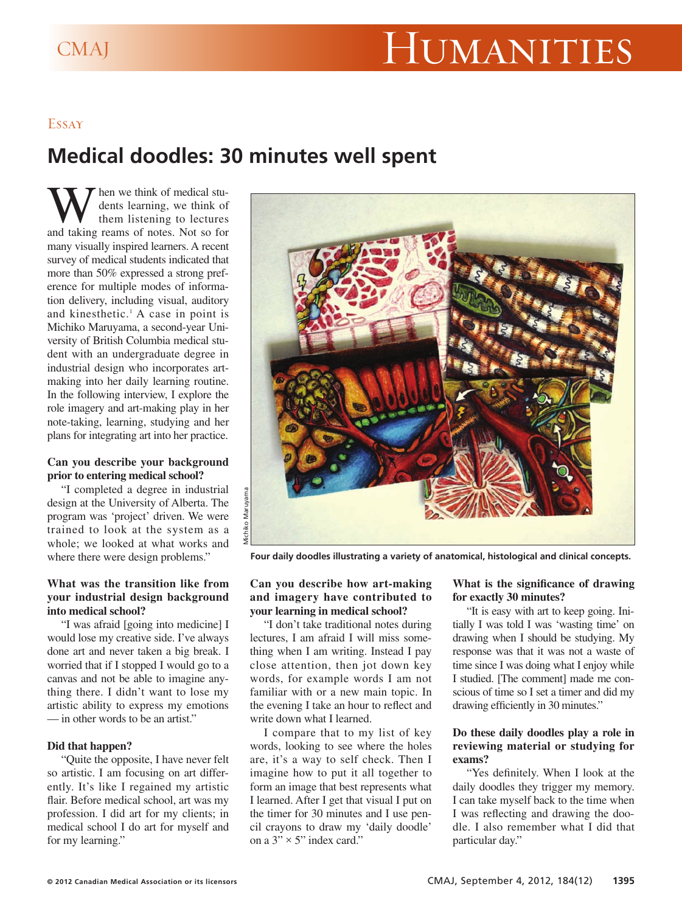# CMAJ HUMANITIES

# Essay

# **Medical doodles: 30 minutes well spent**

W hen we think of medical stu-<br>dents learning, we think of<br>and taking reams of notes. Not so for dents learning, we think of them listening to lectures many visually inspired learners. A recent survey of medical students indicated that more than 50% expressed a strong preference for multiple modes of information delivery, including visual, auditory and kinesthetic.<sup>1</sup> A case in point is Michiko Maruyama, a second-year University of British Columbia medical student with an undergraduate degree in industrial design who incorporates artmaking into her daily learning routine. In the following interview, I explore the role imagery and art-making play in her note-taking, learning, studying and her plans for integrating art into her practice.

# **Can you describe your background prior to entering medical school?**

"I completed a degree in industrial design at the University of Alberta. The program was 'project' driven. We were trained to look at the system as a whole; we looked at what works and where there were design problems."

# **What was the transition like from your industrial design background into medical school?**

"I was afraid [going into medicine] I would lose my creative side. I've always done art and never taken a big break. I worried that if I stopped I would go to a canvas and not be able to imagine anything there. I didn't want to lose my artistic ability to express my emotions — in other words to be an artist."

# **Did that happen?**

"Quite the opposite, I have never felt so artistic. I am focusing on art differently. It's like I regained my artistic flair. Before medical school, art was my profession. I did art for my clients; in medical school I do art for myself and for my learning."



**Four daily doodles illustrating a variety of anatomical, histological and clinical concepts.**

# **Can you describe how art-making and imagery have contributed to your learning in medical school?**

"I don't take traditional notes during lectures, I am afraid I will miss something when I am writing. Instead I pay close attention, then jot down key words, for example words I am not familiar with or a new main topic. In the evening I take an hour to reflect and write down what I learned.

I compare that to my list of key words, looking to see where the holes are, it's a way to self check. Then I imagine how to put it all together to form an image that best represents what I learned. After I get that visual I put on the timer for 30 minutes and I use pencil crayons to draw my 'daily doodle' on a  $3" \times 5"$  index card."

# **What is the significance of drawing for exactly 30 minutes?**

"It is easy with art to keep going. Initially I was told I was 'wasting time' on drawing when I should be studying. My response was that it was not a waste of time since I was doing what I enjoy while I studied. [The comment] made me conscious of time so I set a timer and did my drawing efficiently in 30 minutes."

# **Do these daily doodles play a role in reviewing material or studying for exams?**

"Yes definitely. When I look at the daily doodles they trigger my memory. I can take myself back to the time when I was reflecting and drawing the doodle. I also remember what I did that particular day."